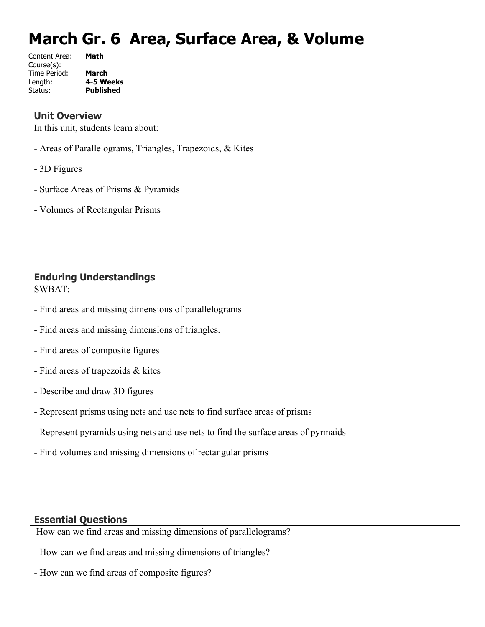# **March Gr. 6 Area, Surface Area, & Volume**

| Content Area: | Math             |
|---------------|------------------|
| Course(s):    |                  |
| Time Period:  | <b>March</b>     |
| Length:       | 4-5 Weeks        |
| Status:       | <b>Published</b> |
|               |                  |

#### **Unit Overview**

In this unit, students learn about:

- Areas of Parallelograms, Triangles, Trapezoids, & Kites
- 3D Figures
- Surface Areas of Prisms & Pyramids
- Volumes of Rectangular Prisms

# **Enduring Understandings**

SWBAT:

- Find areas and missing dimensions of parallelograms
- Find areas and missing dimensions of triangles.
- Find areas of composite figures
- Find areas of trapezoids & kites
- Describe and draw 3D figures
- Represent prisms using nets and use nets to find surface areas of prisms
- Represent pyramids using nets and use nets to find the surface areas of pyrmaids
- Find volumes and missing dimensions of rectangular prisms

#### **Essential Questions**

How can we find areas and missing dimensions of parallelograms?

- How can we find areas and missing dimensions of triangles?
- How can we find areas of composite figures?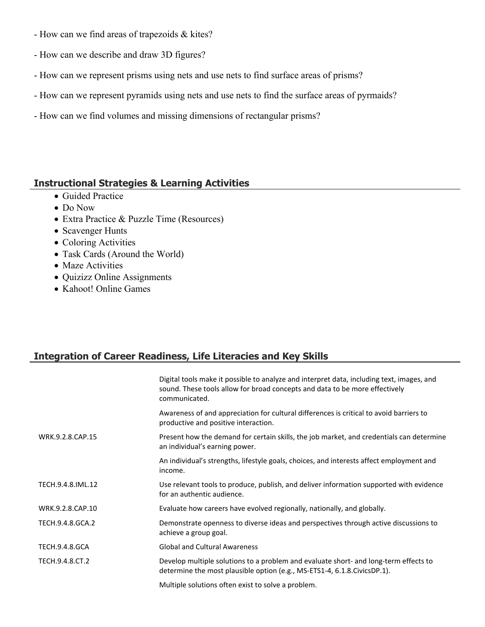- How can we find areas of trapezoids & kites?
- How can we describe and draw 3D figures?
- How can we represent prisms using nets and use nets to find surface areas of prisms?
- How can we represent pyramids using nets and use nets to find the surface areas of pyrmaids?
- How can we find volumes and missing dimensions of rectangular prisms?

#### **Instructional Strategies & Learning Activities**

- Guided Practice
- Do Now
- Extra Practice & Puzzle Time (Resources)
- Scavenger Hunts
- Coloring Activities
- Task Cards (Around the World)
- Maze Activities
- Quizizz Online Assignments
- Kahoot! Online Games

# **Integration of Career Readiness, Life Literacies and Key Skills**

|                       | Digital tools make it possible to analyze and interpret data, including text, images, and<br>sound. These tools allow for broad concepts and data to be more effectively<br>communicated. |
|-----------------------|-------------------------------------------------------------------------------------------------------------------------------------------------------------------------------------------|
|                       | Awareness of and appreciation for cultural differences is critical to avoid barriers to<br>productive and positive interaction.                                                           |
| WRK.9.2.8.CAP.15      | Present how the demand for certain skills, the job market, and credentials can determine<br>an individual's earning power.                                                                |
|                       | An individual's strengths, lifestyle goals, choices, and interests affect employment and<br>income.                                                                                       |
| TECH.9.4.8.IML.12     | Use relevant tools to produce, publish, and deliver information supported with evidence<br>for an authentic audience.                                                                     |
| WRK.9.2.8.CAP.10      | Evaluate how careers have evolved regionally, nationally, and globally.                                                                                                                   |
| TECH.9.4.8.GCA.2      | Demonstrate openness to diverse ideas and perspectives through active discussions to<br>achieve a group goal.                                                                             |
| <b>TECH.9.4.8.GCA</b> | <b>Global and Cultural Awareness</b>                                                                                                                                                      |
| TECH.9.4.8.CT.2       | Develop multiple solutions to a problem and evaluate short- and long-term effects to<br>determine the most plausible option (e.g., MS-ETS1-4, 6.1.8. Civics DP.1).                        |
|                       | Multiple solutions often exist to solve a problem.                                                                                                                                        |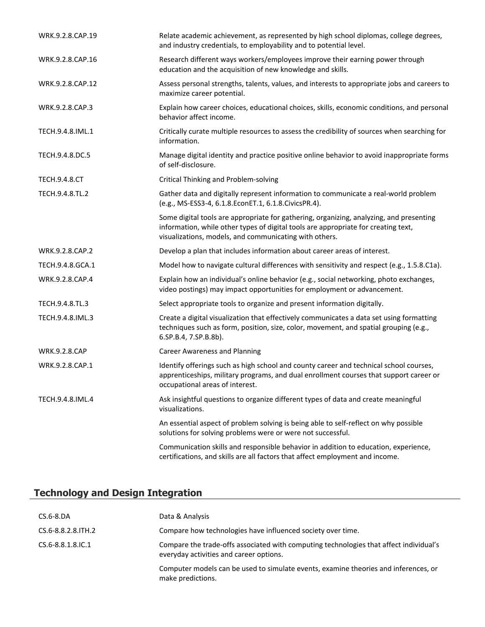| WRK.9.2.8.CAP.19     | Relate academic achievement, as represented by high school diplomas, college degrees,<br>and industry credentials, to employability and to potential level.                                                                             |  |  |
|----------------------|-----------------------------------------------------------------------------------------------------------------------------------------------------------------------------------------------------------------------------------------|--|--|
| WRK.9.2.8.CAP.16     | Research different ways workers/employees improve their earning power through<br>education and the acquisition of new knowledge and skills.                                                                                             |  |  |
| WRK.9.2.8.CAP.12     | Assess personal strengths, talents, values, and interests to appropriate jobs and careers to<br>maximize career potential.                                                                                                              |  |  |
| WRK.9.2.8.CAP.3      | Explain how career choices, educational choices, skills, economic conditions, and personal<br>behavior affect income.                                                                                                                   |  |  |
| TECH.9.4.8.IML.1     | Critically curate multiple resources to assess the credibility of sources when searching for<br>information.                                                                                                                            |  |  |
| TECH.9.4.8.DC.5      | Manage digital identity and practice positive online behavior to avoid inappropriate forms<br>of self-disclosure.                                                                                                                       |  |  |
| <b>TECH.9.4.8.CT</b> | <b>Critical Thinking and Problem-solving</b>                                                                                                                                                                                            |  |  |
| TECH.9.4.8.TL.2      | Gather data and digitally represent information to communicate a real-world problem<br>(e.g., MS-ESS3-4, 6.1.8.EconET.1, 6.1.8.CivicsPR.4).                                                                                             |  |  |
|                      | Some digital tools are appropriate for gathering, organizing, analyzing, and presenting<br>information, while other types of digital tools are appropriate for creating text,<br>visualizations, models, and communicating with others. |  |  |
| WRK.9.2.8.CAP.2      | Develop a plan that includes information about career areas of interest.                                                                                                                                                                |  |  |
| TECH.9.4.8.GCA.1     | Model how to navigate cultural differences with sensitivity and respect (e.g., 1.5.8.C1a).                                                                                                                                              |  |  |
| WRK.9.2.8.CAP.4      | Explain how an individual's online behavior (e.g., social networking, photo exchanges,<br>video postings) may impact opportunities for employment or advancement.                                                                       |  |  |
| TECH.9.4.8.TL.3      | Select appropriate tools to organize and present information digitally.                                                                                                                                                                 |  |  |
| TECH.9.4.8.IML.3     | Create a digital visualization that effectively communicates a data set using formatting<br>techniques such as form, position, size, color, movement, and spatial grouping (e.g.,<br>6.SP.B.4, 7.SP.B.8b).                              |  |  |
| <b>WRK.9.2.8.CAP</b> | <b>Career Awareness and Planning</b>                                                                                                                                                                                                    |  |  |
| WRK.9.2.8.CAP.1      | Identify offerings such as high school and county career and technical school courses,<br>apprenticeships, military programs, and dual enrollment courses that support career or<br>occupational areas of interest.                     |  |  |
| TECH.9.4.8.IML.4     | Ask insightful questions to organize different types of data and create meaningful<br>visualizations.                                                                                                                                   |  |  |
|                      | An essential aspect of problem solving is being able to self-reflect on why possible<br>solutions for solving problems were or were not successful.                                                                                     |  |  |
|                      | Communication skills and responsible behavior in addition to education, experience,<br>certifications, and skills are all factors that affect employment and income.                                                                    |  |  |

# **Technology and Design Integration**

| $CS.6-8.DA$              | Data & Analysis                                                                                                                   |
|--------------------------|-----------------------------------------------------------------------------------------------------------------------------------|
| CS.6-8.8.2.8. ITH.2      | Compare how technologies have influenced society over time.                                                                       |
| $CS.6 - 8.8.1.8$ . IC. 1 | Compare the trade-offs associated with computing technologies that affect individual's<br>everyday activities and career options. |
|                          | Computer models can be used to simulate events, examine theories and inferences, or<br>make predictions.                          |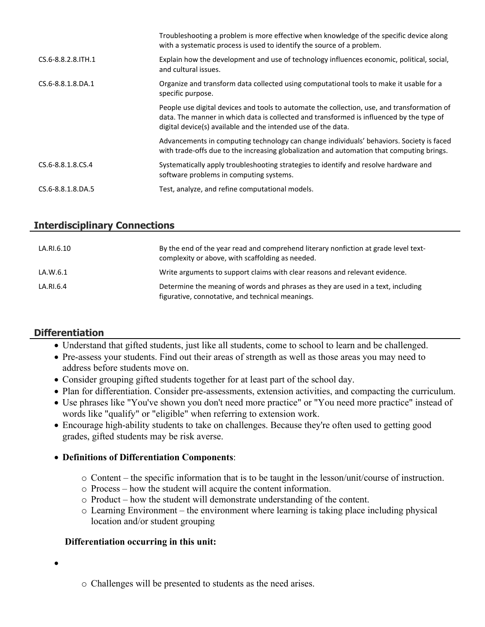|                     | Troubleshooting a problem is more effective when knowledge of the specific device along<br>with a systematic process is used to identify the source of a problem.                                                                                        |
|---------------------|----------------------------------------------------------------------------------------------------------------------------------------------------------------------------------------------------------------------------------------------------------|
| CS.6-8.8.2.8. ITH.1 | Explain how the development and use of technology influences economic, political, social,<br>and cultural issues.                                                                                                                                        |
| CS.6-8.8.1.8.DA.1   | Organize and transform data collected using computational tools to make it usable for a<br>specific purpose.                                                                                                                                             |
|                     | People use digital devices and tools to automate the collection, use, and transformation of<br>data. The manner in which data is collected and transformed is influenced by the type of<br>digital device(s) available and the intended use of the data. |
|                     | Advancements in computing technology can change individuals' behaviors. Society is faced<br>with trade-offs due to the increasing globalization and automation that computing brings.                                                                    |
| CS.6-8.8.1.8.CS.4   | Systematically apply troubleshooting strategies to identify and resolve hardware and<br>software problems in computing systems.                                                                                                                          |
| CS.6-8.8.1.8.DA.5   | Test, analyze, and refine computational models.                                                                                                                                                                                                          |

### **Interdisciplinary Connections**

| LA.RI.6.10 | By the end of the year read and comprehend literary nonfiction at grade level text-<br>complexity or above, with scaffolding as needed. |
|------------|-----------------------------------------------------------------------------------------------------------------------------------------|
| LA.W.6.1   | Write arguments to support claims with clear reasons and relevant evidence.                                                             |
| LA.RI.6.4  | Determine the meaning of words and phrases as they are used in a text, including<br>figurative, connotative, and technical meanings.    |

# **Differentiation**

- Understand that gifted students, just like all students, come to school to learn and be challenged.
- Pre-assess your students. Find out their areas of strength as well as those areas you may need to address before students move on.
- Consider grouping gifted students together for at least part of the school day.
- Plan for differentiation. Consider pre-assessments, extension activities, and compacting the curriculum.
- Use phrases like "You've shown you don't need more practice" or "You need more practice" instead of words like "qualify" or "eligible" when referring to extension work.
- Encourage high-ability students to take on challenges. Because they're often used to getting good grades, gifted students may be risk averse.

#### **Definitions of Differentiation Components**:

- o Content the specific information that is to be taught in the lesson/unit/course of instruction.
- o Process how the student will acquire the content information.
- o Product how the student will demonstrate understanding of the content.
- o Learning Environment the environment where learning is taking place including physical location and/or student grouping

#### **Differentiation occurring in this unit:**

- $\bullet$
- o Challenges will be presented to students as the need arises.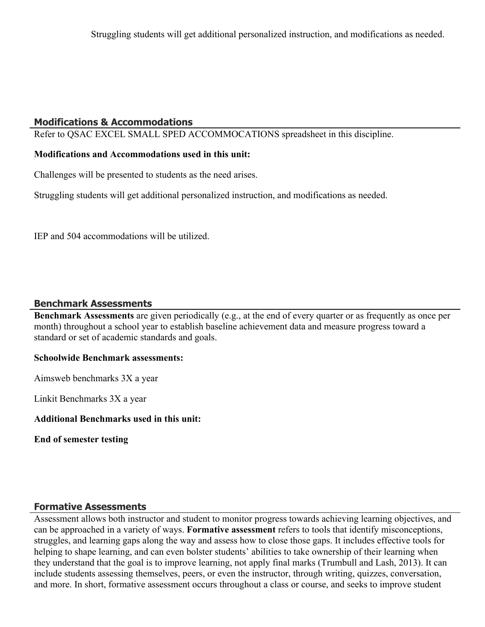# **Modifications & Accommodations**

Refer to QSAC EXCEL SMALL SPED ACCOMMOCATIONS spreadsheet in this discipline.

## **Modifications and Accommodations used in this unit:**

Challenges will be presented to students as the need arises.

Struggling students will get additional personalized instruction, and modifications as needed.

IEP and 504 accommodations will be utilized.

### **Benchmark Assessments**

**Benchmark Assessments** are given periodically (e.g., at the end of every quarter or as frequently as once per month) throughout a school year to establish baseline achievement data and measure progress toward a standard or set of academic standards and goals.

#### **Schoolwide Benchmark assessments:**

Aimsweb benchmarks 3X a year

Linkit Benchmarks 3X a year

**Additional Benchmarks used in this unit:**

**End of semester testing**

# **Formative Assessments**

Assessment allows both instructor and student to monitor progress towards achieving learning objectives, and can be approached in a variety of ways. **Formative assessment** refers to tools that identify misconceptions, struggles, and learning gaps along the way and assess how to close those gaps. It includes effective tools for helping to shape learning, and can even bolster students' abilities to take ownership of their learning when they understand that the goal is to improve learning, not apply final marks (Trumbull and Lash, 2013). It can include students assessing themselves, peers, or even the instructor, through writing, quizzes, conversation, and more. In short, formative assessment occurs throughout a class or course, and seeks to improve student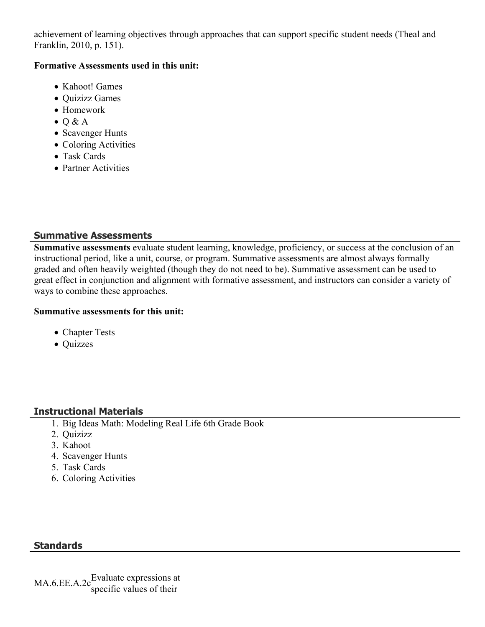achievement of learning objectives through approaches that can support specific student needs (Theal and Franklin, 2010, p. 151).

#### **Formative Assessments used in this unit:**

- Kahoot! Games
- Quizizz Games
- Homework
- $\bullet$  Q & A
- Scavenger Hunts
- Coloring Activities
- Task Cards
- Partner Activities

# **Summative Assessments**

**Summative assessments** evaluate student learning, knowledge, proficiency, or success at the conclusion of an instructional period, like a unit, course, or program. Summative assessments are almost always formally graded and often heavily weighted (though they do not need to be). Summative assessment can be used to great effect in conjunction and alignment with formative assessment, and instructors can consider a variety of ways to combine these approaches.

#### **Summative assessments for this unit:**

- Chapter Tests
- Quizzes

# **Instructional Materials**

- 1. Big Ideas Math: Modeling Real Life 6th Grade Book
- 2. Quizizz
- 3. Kahoot
- 4. Scavenger Hunts
- 5. Task Cards
- 6. Coloring Activities

# **Standards**